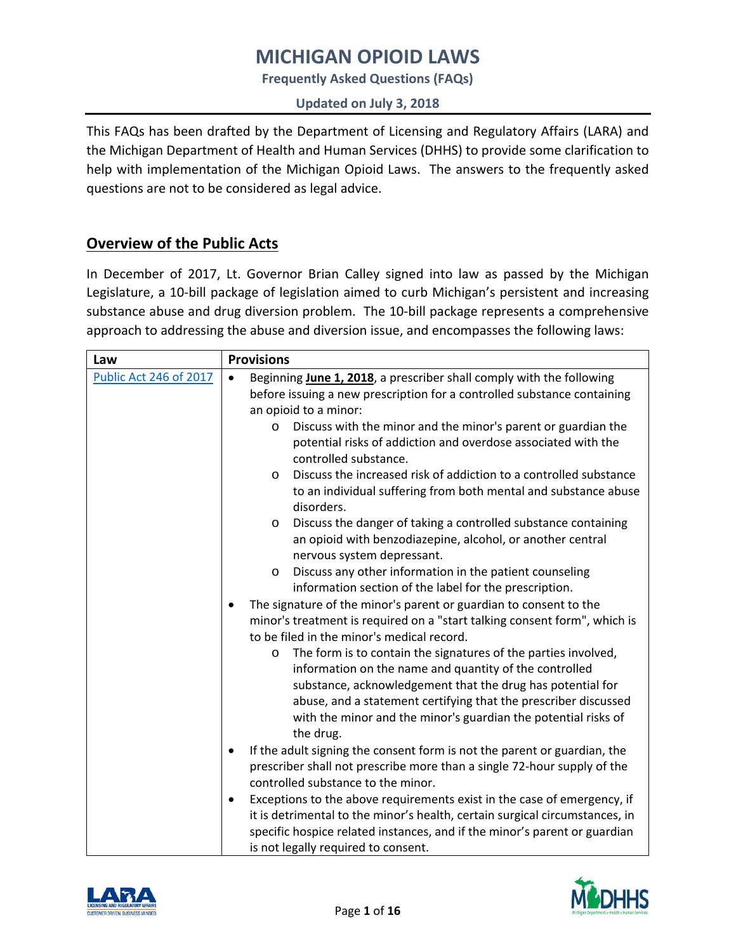**Frequently Asked Questions (FAQs)**

**Updated on July 3, 2018**

This FAQs has been drafted by the Department of Licensing and Regulatory Affairs (LARA) and the Michigan Department of Health and Human Services (DHHS) to provide some clarification to help with implementation of the Michigan Opioid Laws. The answers to the frequently asked questions are not to be considered as legal advice.

### **Overview of the Public Acts**

In December of 2017, Lt. Governor Brian Calley signed into law as passed by the Michigan Legislature, a 10-bill package of legislation aimed to curb Michigan's persistent and increasing substance abuse and drug diversion problem. The 10-bill package represents a comprehensive approach to addressing the abuse and diversion issue, and encompasses the following laws:

| Law                    | <b>Provisions</b>                                                                                                                                                                                                                                                                                                                                                                                                                                                                                                                                                |
|------------------------|------------------------------------------------------------------------------------------------------------------------------------------------------------------------------------------------------------------------------------------------------------------------------------------------------------------------------------------------------------------------------------------------------------------------------------------------------------------------------------------------------------------------------------------------------------------|
| Public Act 246 of 2017 | Beginning June 1, 2018, a prescriber shall comply with the following<br>$\bullet$<br>before issuing a new prescription for a controlled substance containing<br>an opioid to a minor:<br>Discuss with the minor and the minor's parent or guardian the<br>$\circ$<br>potential risks of addiction and overdose associated with the<br>controlled substance.<br>Discuss the increased risk of addiction to a controlled substance<br>$\circ$                                                                                                                      |
|                        | to an individual suffering from both mental and substance abuse<br>disorders.<br>Discuss the danger of taking a controlled substance containing<br>O<br>an opioid with benzodiazepine, alcohol, or another central<br>nervous system depressant.<br>Discuss any other information in the patient counseling<br>$\circ$<br>information section of the label for the prescription.                                                                                                                                                                                 |
|                        | The signature of the minor's parent or guardian to consent to the<br>$\bullet$<br>minor's treatment is required on a "start talking consent form", which is<br>to be filed in the minor's medical record.<br>The form is to contain the signatures of the parties involved,<br>$\circ$<br>information on the name and quantity of the controlled<br>substance, acknowledgement that the drug has potential for<br>abuse, and a statement certifying that the prescriber discussed<br>with the minor and the minor's guardian the potential risks of<br>the drug. |
|                        | If the adult signing the consent form is not the parent or guardian, the<br>٠<br>prescriber shall not prescribe more than a single 72-hour supply of the<br>controlled substance to the minor.<br>Exceptions to the above requirements exist in the case of emergency, if<br>$\bullet$<br>it is detrimental to the minor's health, certain surgical circumstances, in<br>specific hospice related instances, and if the minor's parent or guardian<br>is not legally required to consent.                                                                        |



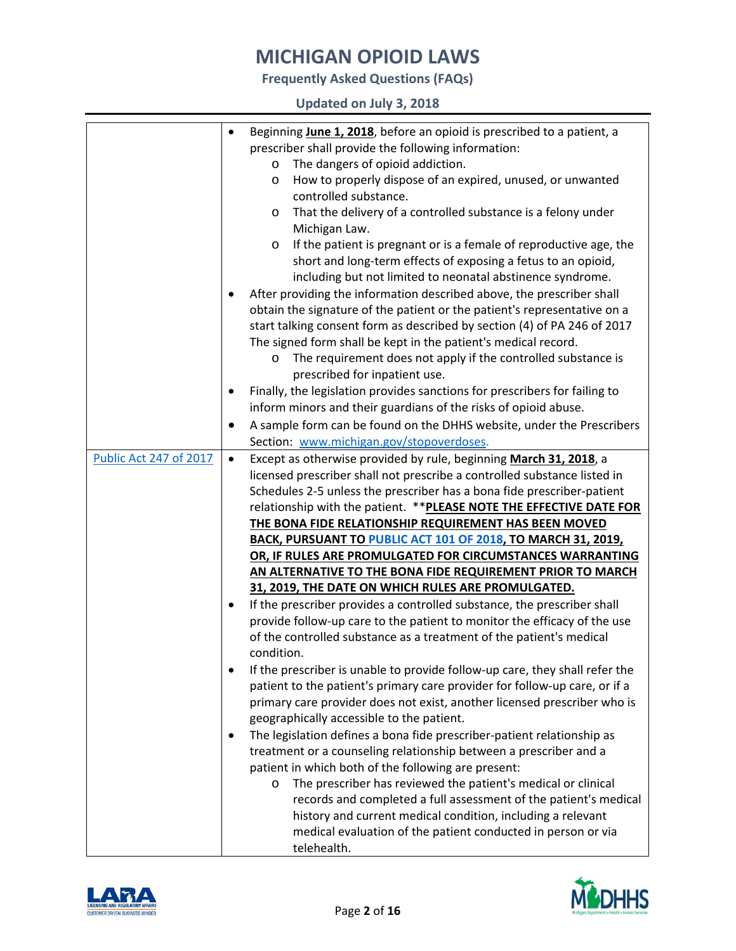**Frequently Asked Questions (FAQs)**

### **Updated on July 3, 2018**

|                        | $\bullet$ | Beginning June 1, 2018, before an opioid is prescribed to a patient, a                                      |
|------------------------|-----------|-------------------------------------------------------------------------------------------------------------|
|                        |           | prescriber shall provide the following information:                                                         |
|                        |           | The dangers of opioid addiction.<br>O                                                                       |
|                        |           | How to properly dispose of an expired, unused, or unwanted<br>$\circ$                                       |
|                        |           | controlled substance.                                                                                       |
|                        |           | That the delivery of a controlled substance is a felony under<br>O                                          |
|                        |           | Michigan Law.                                                                                               |
|                        |           | If the patient is pregnant or is a female of reproductive age, the<br>$\circ$                               |
|                        |           | short and long-term effects of exposing a fetus to an opioid,                                               |
|                        |           | including but not limited to neonatal abstinence syndrome.                                                  |
|                        |           | After providing the information described above, the prescriber shall                                       |
|                        |           | obtain the signature of the patient or the patient's representative on a                                    |
|                        |           | start talking consent form as described by section (4) of PA 246 of 2017                                    |
|                        |           | The signed form shall be kept in the patient's medical record.                                              |
|                        |           | The requirement does not apply if the controlled substance is<br>$\circ$                                    |
|                        |           | prescribed for inpatient use.<br>Finally, the legislation provides sanctions for prescribers for failing to |
|                        |           | inform minors and their guardians of the risks of opioid abuse.                                             |
|                        |           | A sample form can be found on the DHHS website, under the Prescribers                                       |
|                        |           | Section: www.michigan.gov/stopoverdoses.                                                                    |
| Public Act 247 of 2017 | $\bullet$ | Except as otherwise provided by rule, beginning March 31, 2018, a                                           |
|                        |           | licensed prescriber shall not prescribe a controlled substance listed in                                    |
|                        |           | Schedules 2-5 unless the prescriber has a bona fide prescriber-patient                                      |
|                        |           | relationship with the patient. ** PLEASE NOTE THE EFFECTIVE DATE FOR                                        |
|                        |           | THE BONA FIDE RELATIONSHIP REQUIREMENT HAS BEEN MOVED                                                       |
|                        |           | BACK, PURSUANT TO PUBLIC ACT 101 OF 2018, TO MARCH 31, 2019,                                                |
|                        |           | OR, IF RULES ARE PROMULGATED FOR CIRCUMSTANCES WARRANTING                                                   |
|                        |           | AN ALTERNATIVE TO THE BONA FIDE REQUIREMENT PRIOR TO MARCH                                                  |
|                        |           | 31, 2019, THE DATE ON WHICH RULES ARE PROMULGATED.                                                          |
|                        | ٠         | If the prescriber provides a controlled substance, the prescriber shall                                     |
|                        |           | provide follow-up care to the patient to monitor the efficacy of the use                                    |
|                        |           | of the controlled substance as a treatment of the patient's medical                                         |
|                        |           | condition.                                                                                                  |
|                        |           | If the prescriber is unable to provide follow-up care, they shall refer the                                 |
|                        |           | patient to the patient's primary care provider for follow-up care, or if a                                  |
|                        |           | primary care provider does not exist, another licensed prescriber who is                                    |
|                        |           | geographically accessible to the patient.                                                                   |
|                        | ٠         | The legislation defines a bona fide prescriber-patient relationship as                                      |
|                        |           | treatment or a counseling relationship between a prescriber and a                                           |
|                        |           | patient in which both of the following are present:                                                         |
|                        |           | The prescriber has reviewed the patient's medical or clinical<br>O                                          |
|                        |           | records and completed a full assessment of the patient's medical                                            |
|                        |           | history and current medical condition, including a relevant                                                 |
|                        |           | medical evaluation of the patient conducted in person or via                                                |
|                        |           | telehealth.                                                                                                 |



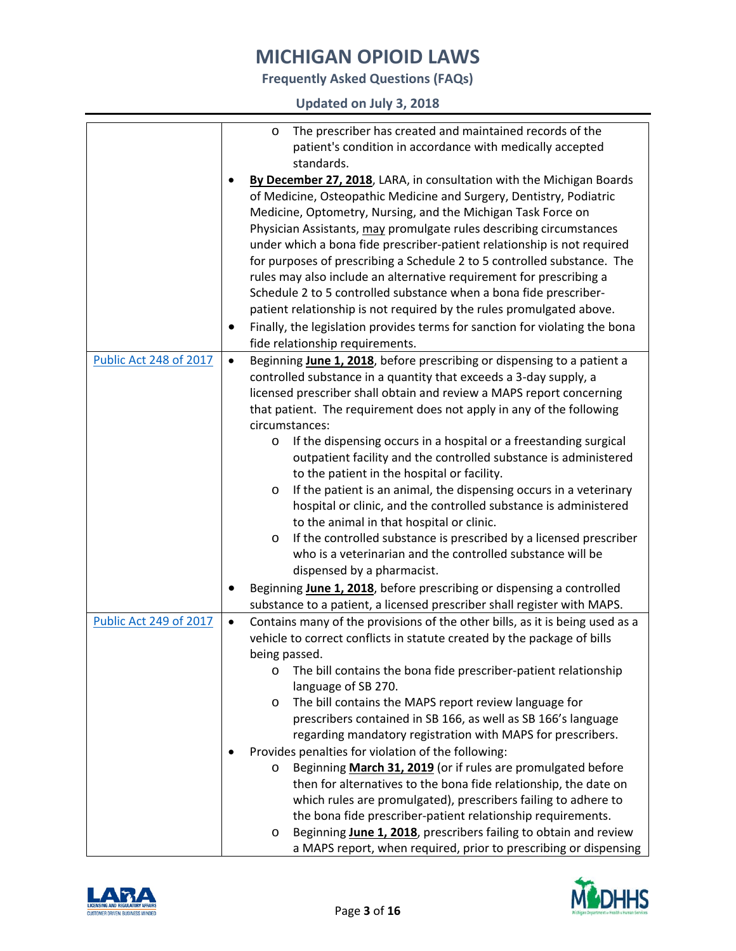**Frequently Asked Questions (FAQs)**

**Updated on July 3, 2018**

|                        |           | The prescriber has created and maintained records of the<br>$\circ$<br>patient's condition in accordance with medically accepted<br>standards.<br>By December 27, 2018, LARA, in consultation with the Michigan Boards<br>of Medicine, Osteopathic Medicine and Surgery, Dentistry, Podiatric<br>Medicine, Optometry, Nursing, and the Michigan Task Force on<br>Physician Assistants, may promulgate rules describing circumstances<br>under which a bona fide prescriber-patient relationship is not required<br>for purposes of prescribing a Schedule 2 to 5 controlled substance. The<br>rules may also include an alternative requirement for prescribing a<br>Schedule 2 to 5 controlled substance when a bona fide prescriber-<br>patient relationship is not required by the rules promulgated above.<br>Finally, the legislation provides terms for sanction for violating the bona<br>fide relationship requirements. |
|------------------------|-----------|----------------------------------------------------------------------------------------------------------------------------------------------------------------------------------------------------------------------------------------------------------------------------------------------------------------------------------------------------------------------------------------------------------------------------------------------------------------------------------------------------------------------------------------------------------------------------------------------------------------------------------------------------------------------------------------------------------------------------------------------------------------------------------------------------------------------------------------------------------------------------------------------------------------------------------|
| Public Act 248 of 2017 | $\bullet$ | Beginning June 1, 2018, before prescribing or dispensing to a patient a<br>controlled substance in a quantity that exceeds a 3-day supply, a                                                                                                                                                                                                                                                                                                                                                                                                                                                                                                                                                                                                                                                                                                                                                                                     |
|                        |           | licensed prescriber shall obtain and review a MAPS report concerning<br>that patient. The requirement does not apply in any of the following<br>circumstances:<br>If the dispensing occurs in a hospital or a freestanding surgical<br>$\circ$<br>outpatient facility and the controlled substance is administered<br>to the patient in the hospital or facility.<br>If the patient is an animal, the dispensing occurs in a veterinary<br>$\circ$<br>hospital or clinic, and the controlled substance is administered<br>to the animal in that hospital or clinic.<br>If the controlled substance is prescribed by a licensed prescriber<br>$\circ$<br>who is a veterinarian and the controlled substance will be<br>dispensed by a pharmacist.<br>Beginning June 1, 2018, before prescribing or dispensing a controlled                                                                                                        |
| Public Act 249 of 2017 | $\bullet$ | substance to a patient, a licensed prescriber shall register with MAPS.<br>Contains many of the provisions of the other bills, as it is being used as a                                                                                                                                                                                                                                                                                                                                                                                                                                                                                                                                                                                                                                                                                                                                                                          |
|                        |           | vehicle to correct conflicts in statute created by the package of bills<br>being passed.<br>The bill contains the bona fide prescriber-patient relationship<br>$\circ$<br>language of SB 270.<br>The bill contains the MAPS report review language for<br>O<br>prescribers contained in SB 166, as well as SB 166's language<br>regarding mandatory registration with MAPS for prescribers.<br>Provides penalties for violation of the following:<br>Beginning March 31, 2019 (or if rules are promulgated before<br>O<br>then for alternatives to the bona fide relationship, the date on<br>which rules are promulgated), prescribers failing to adhere to<br>the bona fide prescriber-patient relationship requirements.<br>Beginning June 1, 2018, prescribers failing to obtain and review<br>O                                                                                                                             |
|                        |           | a MAPS report, when required, prior to prescribing or dispensing                                                                                                                                                                                                                                                                                                                                                                                                                                                                                                                                                                                                                                                                                                                                                                                                                                                                 |



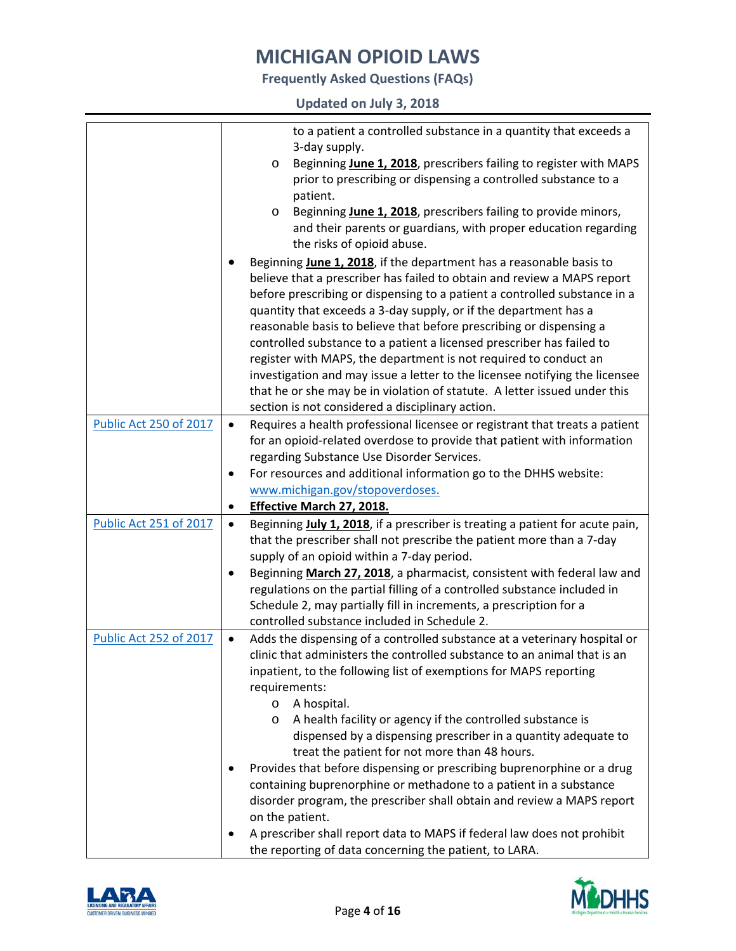**Frequently Asked Questions (FAQs)**

**Updated on July 3, 2018**

|                        |           | to a patient a controlled substance in a quantity that exceeds a<br>3-day supply.                                                                                                                                                                                                                                                                                                                                                                                                                                                                                                                                                                            |
|------------------------|-----------|--------------------------------------------------------------------------------------------------------------------------------------------------------------------------------------------------------------------------------------------------------------------------------------------------------------------------------------------------------------------------------------------------------------------------------------------------------------------------------------------------------------------------------------------------------------------------------------------------------------------------------------------------------------|
|                        |           | Beginning June 1, 2018, prescribers failing to register with MAPS<br>O<br>prior to prescribing or dispensing a controlled substance to a<br>patient.<br>Beginning June 1, 2018, prescribers failing to provide minors,<br>O<br>and their parents or guardians, with proper education regarding<br>the risks of opioid abuse.                                                                                                                                                                                                                                                                                                                                 |
|                        |           | Beginning June 1, 2018, if the department has a reasonable basis to                                                                                                                                                                                                                                                                                                                                                                                                                                                                                                                                                                                          |
|                        |           | believe that a prescriber has failed to obtain and review a MAPS report<br>before prescribing or dispensing to a patient a controlled substance in a<br>quantity that exceeds a 3-day supply, or if the department has a<br>reasonable basis to believe that before prescribing or dispensing a<br>controlled substance to a patient a licensed prescriber has failed to<br>register with MAPS, the department is not required to conduct an<br>investigation and may issue a letter to the licensee notifying the licensee<br>that he or she may be in violation of statute. A letter issued under this<br>section is not considered a disciplinary action. |
| Public Act 250 of 2017 | $\bullet$ | Requires a health professional licensee or registrant that treats a patient                                                                                                                                                                                                                                                                                                                                                                                                                                                                                                                                                                                  |
|                        |           | for an opioid-related overdose to provide that patient with information                                                                                                                                                                                                                                                                                                                                                                                                                                                                                                                                                                                      |
|                        |           | regarding Substance Use Disorder Services.                                                                                                                                                                                                                                                                                                                                                                                                                                                                                                                                                                                                                   |
|                        | ٠         | For resources and additional information go to the DHHS website:                                                                                                                                                                                                                                                                                                                                                                                                                                                                                                                                                                                             |
|                        |           | www.michigan.gov/stopoverdoses.                                                                                                                                                                                                                                                                                                                                                                                                                                                                                                                                                                                                                              |
|                        | ٠         | <b>Effective March 27, 2018.</b>                                                                                                                                                                                                                                                                                                                                                                                                                                                                                                                                                                                                                             |
|                        |           |                                                                                                                                                                                                                                                                                                                                                                                                                                                                                                                                                                                                                                                              |
| Public Act 251 of 2017 | $\bullet$ |                                                                                                                                                                                                                                                                                                                                                                                                                                                                                                                                                                                                                                                              |
|                        |           | Beginning July 1, 2018, if a prescriber is treating a patient for acute pain,<br>that the prescriber shall not prescribe the patient more than a 7-day                                                                                                                                                                                                                                                                                                                                                                                                                                                                                                       |
|                        |           | supply of an opioid within a 7-day period.                                                                                                                                                                                                                                                                                                                                                                                                                                                                                                                                                                                                                   |
|                        |           | Beginning March 27, 2018, a pharmacist, consistent with federal law and                                                                                                                                                                                                                                                                                                                                                                                                                                                                                                                                                                                      |
|                        |           | regulations on the partial filling of a controlled substance included in                                                                                                                                                                                                                                                                                                                                                                                                                                                                                                                                                                                     |
|                        |           | Schedule 2, may partially fill in increments, a prescription for a                                                                                                                                                                                                                                                                                                                                                                                                                                                                                                                                                                                           |
|                        |           | controlled substance included in Schedule 2.                                                                                                                                                                                                                                                                                                                                                                                                                                                                                                                                                                                                                 |
| Public Act 252 of 2017 | $\bullet$ | Adds the dispensing of a controlled substance at a veterinary hospital or<br>clinic that administers the controlled substance to an animal that is an<br>inpatient, to the following list of exemptions for MAPS reporting<br>requirements:                                                                                                                                                                                                                                                                                                                                                                                                                  |
|                        |           | A hospital.<br>O                                                                                                                                                                                                                                                                                                                                                                                                                                                                                                                                                                                                                                             |
|                        |           | A health facility or agency if the controlled substance is<br>O<br>dispensed by a dispensing prescriber in a quantity adequate to<br>treat the patient for not more than 48 hours.                                                                                                                                                                                                                                                                                                                                                                                                                                                                           |
|                        | ٠         | Provides that before dispensing or prescribing buprenorphine or a drug                                                                                                                                                                                                                                                                                                                                                                                                                                                                                                                                                                                       |
|                        |           | containing buprenorphine or methadone to a patient in a substance                                                                                                                                                                                                                                                                                                                                                                                                                                                                                                                                                                                            |
|                        |           | disorder program, the prescriber shall obtain and review a MAPS report                                                                                                                                                                                                                                                                                                                                                                                                                                                                                                                                                                                       |
|                        |           | on the patient.                                                                                                                                                                                                                                                                                                                                                                                                                                                                                                                                                                                                                                              |
|                        | ٠         | A prescriber shall report data to MAPS if federal law does not prohibit                                                                                                                                                                                                                                                                                                                                                                                                                                                                                                                                                                                      |



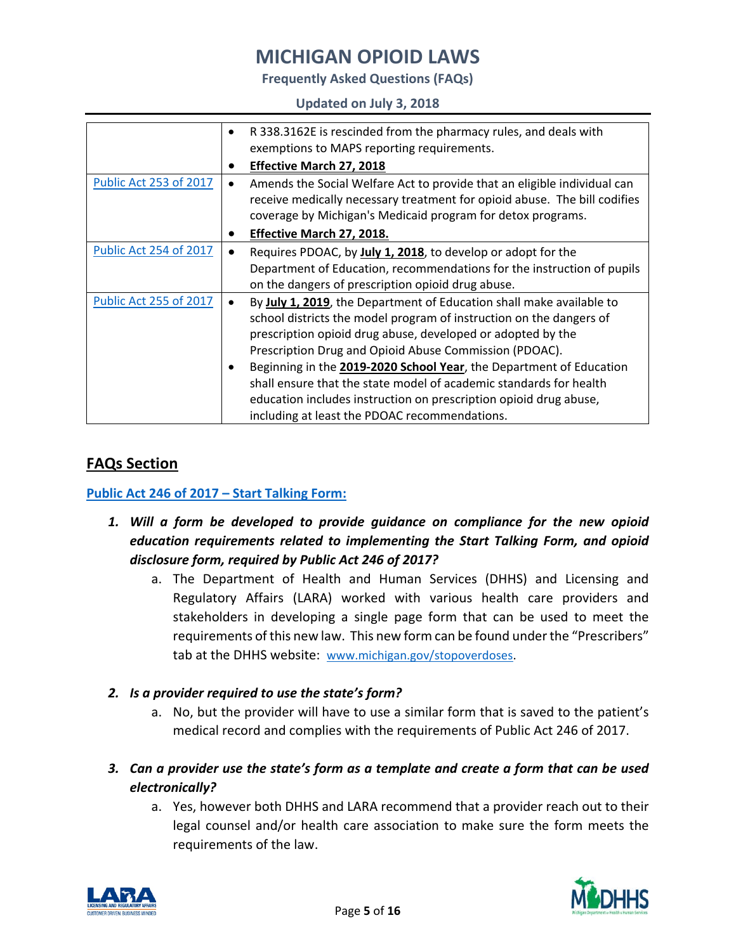**Frequently Asked Questions (FAQs)**

#### **Updated on July 3, 2018**

|                               | $\bullet$ | R 338.3162E is rescinded from the pharmacy rules, and deals with          |
|-------------------------------|-----------|---------------------------------------------------------------------------|
|                               |           | exemptions to MAPS reporting requirements.                                |
|                               |           | <b>Effective March 27, 2018</b>                                           |
| <b>Public Act 253 of 2017</b> | $\bullet$ | Amends the Social Welfare Act to provide that an eligible individual can  |
|                               |           | receive medically necessary treatment for opioid abuse. The bill codifies |
|                               |           | coverage by Michigan's Medicaid program for detox programs.               |
|                               |           | Effective March 27, 2018.                                                 |
| Public Act 254 of 2017        | $\bullet$ | Requires PDOAC, by July 1, 2018, to develop or adopt for the              |
|                               |           | Department of Education, recommendations for the instruction of pupils    |
|                               |           | on the dangers of prescription opioid drug abuse.                         |
| <b>Public Act 255 of 2017</b> | $\bullet$ | By July 1, 2019, the Department of Education shall make available to      |
|                               |           | school districts the model program of instruction on the dangers of       |
|                               |           | prescription opioid drug abuse, developed or adopted by the               |
|                               |           | Prescription Drug and Opioid Abuse Commission (PDOAC).                    |
|                               | ٠         | Beginning in the 2019-2020 School Year, the Department of Education       |
|                               |           | shall ensure that the state model of academic standards for health        |
|                               |           | education includes instruction on prescription opioid drug abuse,         |
|                               |           | including at least the PDOAC recommendations.                             |

## **FAQs Section**

#### **[Public Act 246 of 2017](http://www.legislature.mi.gov/documents/2017-2018/publicact/pdf/2017-PA-0246.pdf) – Start Talking Form:**

- *1. Will a form be developed to provide guidance on compliance for the new opioid education requirements related to implementing the Start Talking Form, and opioid disclosure form, required by Public Act 246 of 2017?*
	- a. The Department of Health and Human Services (DHHS) and Licensing and Regulatory Affairs (LARA) worked with various health care providers and stakeholders in developing a single page form that can be used to meet the requirements of this new law. This new form can be found under the "Prescribers" tab at the DHHS website: [www.michigan.gov/stopoverdoses.](http://www.michigan.gov/stopoverdoses)

#### *2. Is a provider required to use the state's form?*

- a. No, but the provider will have to use a similar form that is saved to the patient's medical record and complies with the requirements of Public Act 246 of 2017.
- *3. Can a provider use the state's form as a template and create a form that can be used electronically?* 
	- a. Yes, however both DHHS and LARA recommend that a provider reach out to their legal counsel and/or health care association to make sure the form meets the requirements of the law.



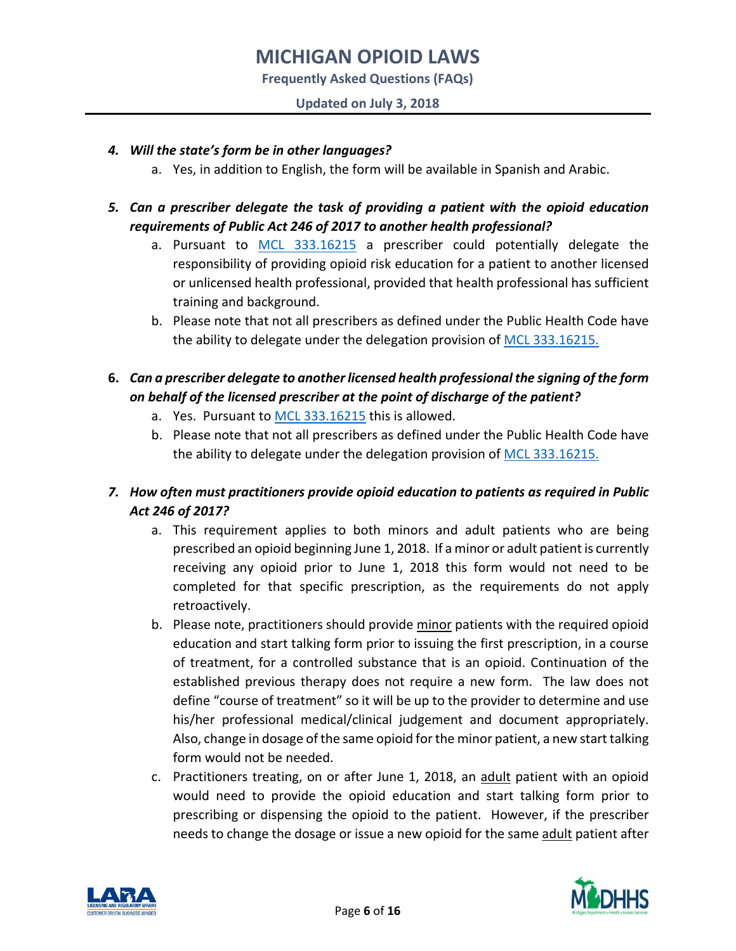**Frequently Asked Questions (FAQs)**

**Updated on July 3, 2018**

#### *4. Will the state's form be in other languages?*

- a. Yes, in addition to English, the form will be available in Spanish and Arabic.
- *5. Can a prescriber delegate the task of providing a patient with the opioid education requirements of Public Act 246 of 2017 to another health professional?*
	- a. Pursuant to [MCL 333.16215](http://www.legislature.mi.gov/(S(kv542z2xcc23sf1cmtfluydx))/mileg.aspx?page=getobject&objectName=mcl-333-16215) a prescriber could potentially delegate the responsibility of providing opioid risk education for a patient to another licensed or unlicensed health professional, provided that health professional has sufficient training and background.
	- b. Please note that not all prescribers as defined under the Public Health Code have the ability to delegate under the delegation provision of [MCL 333.16215.](http://www.legislature.mi.gov/(S(kv542z2xcc23sf1cmtfluydx))/mileg.aspx?page=getobject&objectName=mcl-333-16215)

### **6.** *Can a prescriber delegate to another licensed health professional the signing of the form on behalf of the licensed prescriber at the point of discharge of the patient?*

- a. Yes. Pursuant to [MCL 333.16215](http://www.legislature.mi.gov/(S(kv542z2xcc23sf1cmtfluydx))/mileg.aspx?page=getobject&objectName=mcl-333-16215) this is allowed.
- b. Please note that not all prescribers as defined under the Public Health Code have the ability to delegate under the delegation provision of [MCL 333.16215.](http://www.legislature.mi.gov/(S(kv542z2xcc23sf1cmtfluydx))/mileg.aspx?page=getobject&objectName=mcl-333-16215)

## *7. How often must practitioners provide opioid education to patients as required in Public Act 246 of 2017?*

- a. This requirement applies to both minors and adult patients who are being prescribed an opioid beginning June 1, 2018. If a minor or adult patient is currently receiving any opioid prior to June 1, 2018 this form would not need to be completed for that specific prescription, as the requirements do not apply retroactively.
- b. Please note, practitioners should provide minor patients with the required opioid education and start talking form prior to issuing the first prescription, in a course of treatment, for a controlled substance that is an opioid. Continuation of the established previous therapy does not require a new form. The law does not define "course of treatment" so it will be up to the provider to determine and use his/her professional medical/clinical judgement and document appropriately. Also, change in dosage of the same opioid for the minor patient, a new start talking form would not be needed.
- c. Practitioners treating, on or after June 1, 2018, an adult patient with an opioid would need to provide the opioid education and start talking form prior to prescribing or dispensing the opioid to the patient. However, if the prescriber needs to change the dosage or issue a new opioid for the same adult patient after



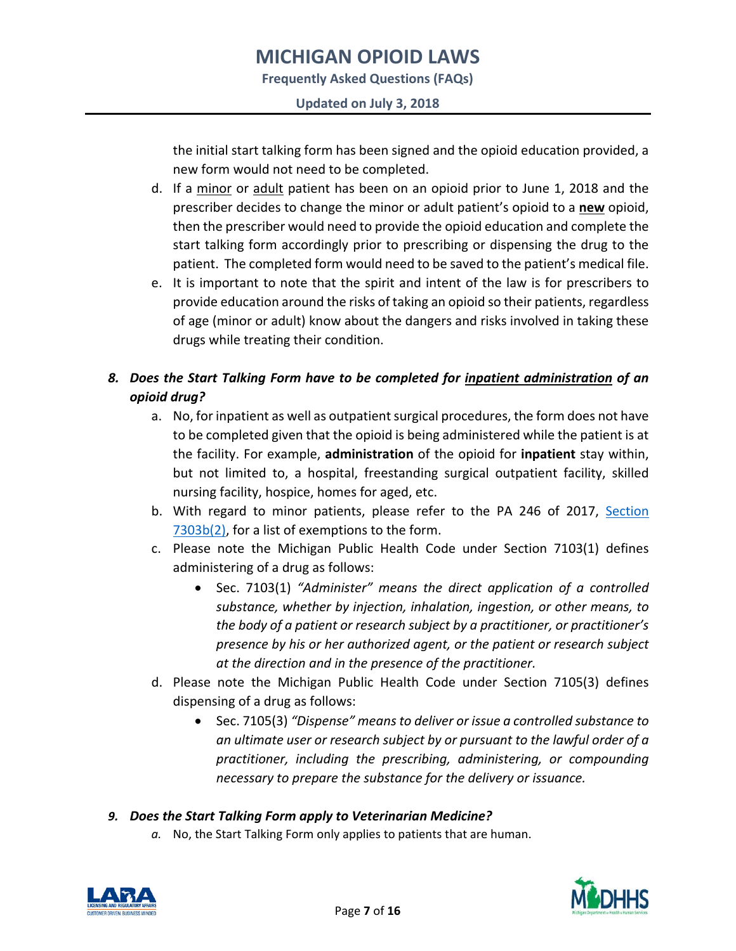**Frequently Asked Questions (FAQs)**

the initial start talking form has been signed and the opioid education provided, a new form would not need to be completed.

- d. If a minor or adult patient has been on an opioid prior to June 1, 2018 and the prescriber decides to change the minor or adult patient's opioid to a **new** opioid, then the prescriber would need to provide the opioid education and complete the start talking form accordingly prior to prescribing or dispensing the drug to the patient. The completed form would need to be saved to the patient's medical file.
- e. It is important to note that the spirit and intent of the law is for prescribers to provide education around the risks of taking an opioid so their patients, regardless of age (minor or adult) know about the dangers and risks involved in taking these drugs while treating their condition.

## *8. Does the Start Talking Form have to be completed for inpatient administration of an opioid drug?*

- a. No, for inpatient as well as outpatient surgical procedures, the form does not have to be completed given that the opioid is being administered while the patient is at the facility. For example, **administration** of the opioid for **inpatient** stay within, but not limited to, a hospital, freestanding surgical outpatient facility, skilled nursing facility, hospice, homes for aged, etc.
- b. With regard to minor patients, please refer to the PA 246 of 2017, [Section](http://www.legislature.mi.gov/(S(j1dqxs0bqznjhwpha5joynpk))/mileg.aspx?page=getObject&objectName=mcl-333-7303b&highlight=public%20AND%20health)  [7303b\(2\),](http://www.legislature.mi.gov/(S(j1dqxs0bqznjhwpha5joynpk))/mileg.aspx?page=getObject&objectName=mcl-333-7303b&highlight=public%20AND%20health) for a list of exemptions to the form.
- c. Please note the Michigan Public Health Code under Section 7103(1) defines administering of a drug as follows:
	- Sec. 7103(1) *"Administer" means the direct application of a controlled substance, whether by injection, inhalation, ingestion, or other means, to the body of a patient or research subject by a practitioner, or practitioner's presence by his or her authorized agent, or the patient or research subject at the direction and in the presence of the practitioner.*
- d. Please note the Michigan Public Health Code under Section 7105(3) defines dispensing of a drug as follows:
	- Sec. 7105(3) *"Dispense" means to deliver or issue a controlled substance to an ultimate user or research subject by or pursuant to the lawful order of a practitioner, including the prescribing, administering, or compounding necessary to prepare the substance for the delivery or issuance.*

#### *9. Does the Start Talking Form apply to Veterinarian Medicine?*

*a.* No, the Start Talking Form only applies to patients that are human.



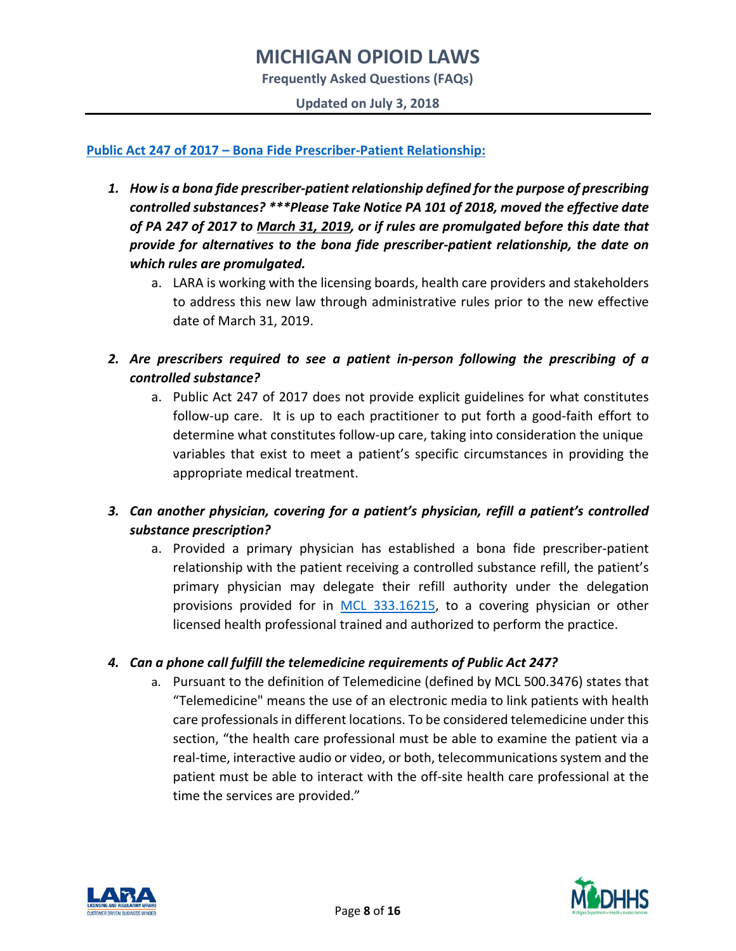**Frequently Asked Questions (FAQs)**

**Updated on July 3, 2018**

#### **[Public Act 247 of 2017](http://www.legislature.mi.gov/documents/2017-2018/publicact/pdf/2017-PA-0247.pdf) – Bona Fide Prescriber-Patient Relationship:**

- *1. How is a bona fide prescriber-patient relationship defined for the purpose of prescribing controlled substances? \*\*\*Please Take Notice PA 101 of 2018, moved the effective date of PA 247 of 2017 to March 31, 2019, or if rules are promulgated before this date that provide for alternatives to the bona fide prescriber-patient relationship, the date on which rules are promulgated.* 
	- a. LARA is working with the licensing boards, health care providers and stakeholders to address this new law through administrative rules prior to the new effective date of March 31, 2019.
- *2. Are prescribers required to see a patient in-person following the prescribing of a controlled substance?*
	- a. Public Act 247 of 2017 does not provide explicit guidelines for what constitutes follow-up care. It is up to each practitioner to put forth a good-faith effort to determine what constitutes follow-up care, taking into consideration the unique variables that exist to meet a patient's specific circumstances in providing the appropriate medical treatment.

## *3. Can another physician, covering for a patient's physician, refill a patient's controlled substance prescription?*

a. Provided a primary physician has established a bona fide prescriber-patient relationship with the patient receiving a controlled substance refill, the patient's primary physician may delegate their refill authority under the delegation provisions provided for in [MCL 333.16215,](http://www.legislature.mi.gov/(S(iy2r4pglqxjsuyw3osxabhzf))/mileg.aspx?page=getobject&objectName=mcl-333-16215) to a covering physician or other licensed health professional trained and authorized to perform the practice.

#### *4. Can a phone call fulfill the telemedicine requirements of Public Act 247?*

a. Pursuant to the definition of Telemedicine (defined by MCL 500.3476) states that "Telemedicine" means the use of an electronic media to link patients with health care professionals in different locations. To be considered telemedicine under this section, "the health care professional must be able to examine the patient via a real-time, interactive audio or video, or both, telecommunications system and the patient must be able to interact with the off-site health care professional at the time the services are provided."



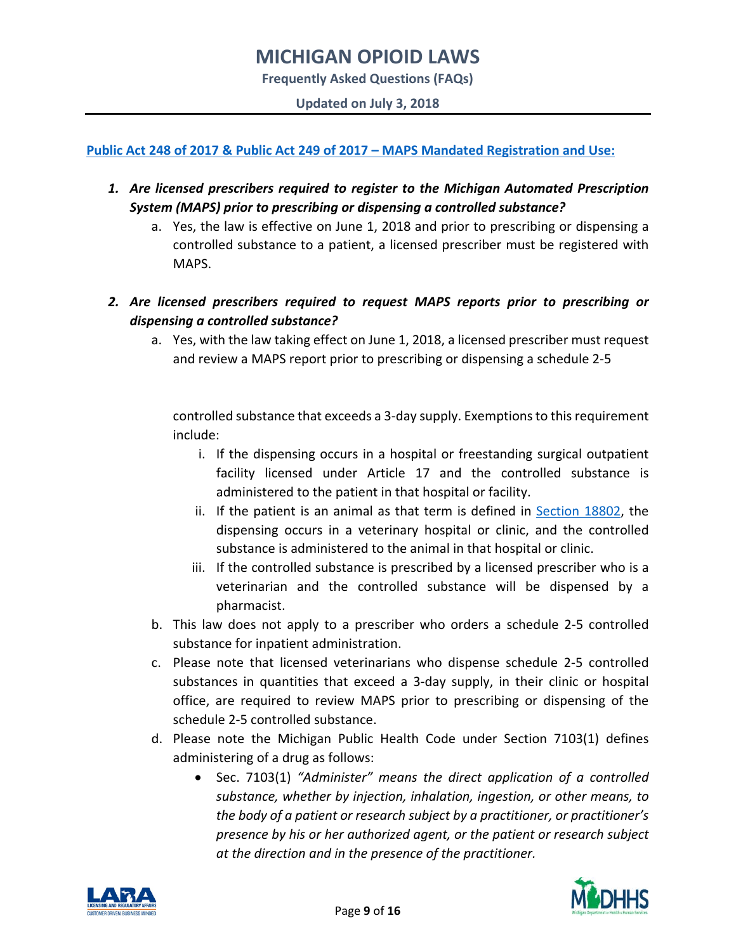**Frequently Asked Questions (FAQs)**

**Updated on July 3, 2018**

**[Public Act 248 of 2017](http://www.legislature.mi.gov/documents/2017-2018/publicact/pdf/2017-PA-0248.pdf) & [Public Act 249 of 2017](http://www.legislature.mi.gov/documents/2017-2018/publicact/pdf/2017-PA-0249.pdf) – MAPS Mandated Registration and Use:**

- *1. Are licensed prescribers required to register to the Michigan Automated Prescription System (MAPS) prior to prescribing or dispensing a controlled substance?* 
	- a. Yes, the law is effective on June 1, 2018 and prior to prescribing or dispensing a controlled substance to a patient, a licensed prescriber must be registered with MAPS.
- *2. Are licensed prescribers required to request MAPS reports prior to prescribing or dispensing a controlled substance?*
	- a. Yes, with the law taking effect on June 1, 2018, a licensed prescriber must request and review a MAPS report prior to prescribing or dispensing a schedule 2-5

controlled substance that exceeds a 3-day supply. Exemptions to this requirement include:

- i. If the dispensing occurs in a hospital or freestanding surgical outpatient facility licensed under Article 17 and the controlled substance is administered to the patient in that hospital or facility.
- ii. If the patient is an animal as that term is defined in [Section 18802,](http://www.legislature.mi.gov/(S(ltori1roudfqivt2le2r0yr1))/mileg.aspx?page=getobject&objectName=mcl-333-18802) the dispensing occurs in a veterinary hospital or clinic, and the controlled substance is administered to the animal in that hospital or clinic.
- iii. If the controlled substance is prescribed by a licensed prescriber who is a veterinarian and the controlled substance will be dispensed by a pharmacist.
- b. This law does not apply to a prescriber who orders a schedule 2-5 controlled substance for inpatient administration.
- c. Please note that licensed veterinarians who dispense schedule 2-5 controlled substances in quantities that exceed a 3-day supply, in their clinic or hospital office, are required to review MAPS prior to prescribing or dispensing of the schedule 2-5 controlled substance.
- d. Please note the Michigan Public Health Code under Section 7103(1) defines administering of a drug as follows:
	- Sec. 7103(1) *"Administer" means the direct application of a controlled substance, whether by injection, inhalation, ingestion, or other means, to the body of a patient or research subject by a practitioner, or practitioner's presence by his or her authorized agent, or the patient or research subject at the direction and in the presence of the practitioner.*



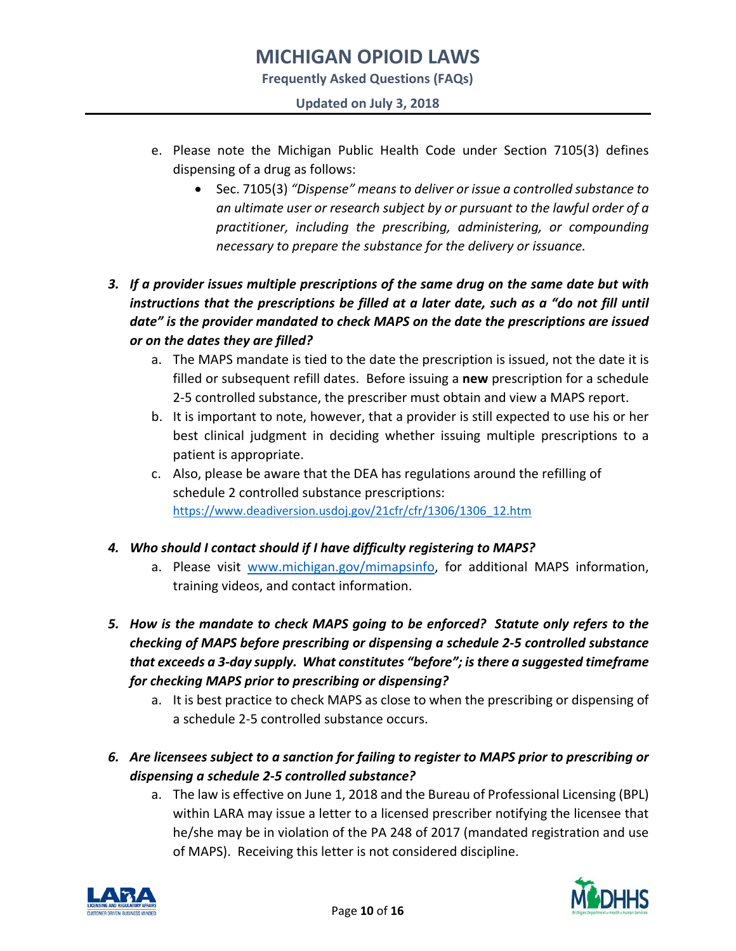**Frequently Asked Questions (FAQs)**

- e. Please note the Michigan Public Health Code under Section 7105(3) defines dispensing of a drug as follows:
	- Sec. 7105(3) *"Dispense" means to deliver or issue a controlled substance to an ultimate user or research subject by or pursuant to the lawful order of a practitioner, including the prescribing, administering, or compounding necessary to prepare the substance for the delivery or issuance.*

## *3. If a provider issues multiple prescriptions of the same drug on the same date but with instructions that the prescriptions be filled at a later date, such as a "do not fill until date" is the provider mandated to check MAPS on the date the prescriptions are issued or on the dates they are filled?*

- a. The MAPS mandate is tied to the date the prescription is issued, not the date it is filled or subsequent refill dates. Before issuing a **new** prescription for a schedule 2-5 controlled substance, the prescriber must obtain and view a MAPS report.
- b. It is important to note, however, that a provider is still expected to use his or her best clinical judgment in deciding whether issuing multiple prescriptions to a patient is appropriate.
- c. Also, please be aware that the DEA has regulations around the refilling of schedule 2 controlled substance prescriptions: [https://www.deadiversion.usdoj.gov/21cfr/cfr/1306/1306\\_12.htm](https://www.deadiversion.usdoj.gov/21cfr/cfr/1306/1306_12.htm)

### *4. Who should I contact should if I have difficulty registering to MAPS?*

- a. Please visit [www.michigan.gov/mimapsinfo,](http://www.michigan.gov/mimapsinfo) for additional MAPS information, training videos, and contact information.
- *5. How is the mandate to check MAPS going to be enforced? Statute only refers to the checking of MAPS before prescribing or dispensing a schedule 2-5 controlled substance that exceeds a 3-day supply. What constitutes "before"; is there a suggested timeframe for checking MAPS prior to prescribing or dispensing?*
	- a. It is best practice to check MAPS as close to when the prescribing or dispensing of a schedule 2-5 controlled substance occurs.
- *6. Are licensees subject to a sanction for failing to register to MAPS prior to prescribing or dispensing a schedule 2-5 controlled substance?* 
	- a. The law is effective on June 1, 2018 and the Bureau of Professional Licensing (BPL) within LARA may issue a letter to a licensed prescriber notifying the licensee that he/she may be in violation of the PA 248 of 2017 (mandated registration and use of MAPS). Receiving this letter is not considered discipline.



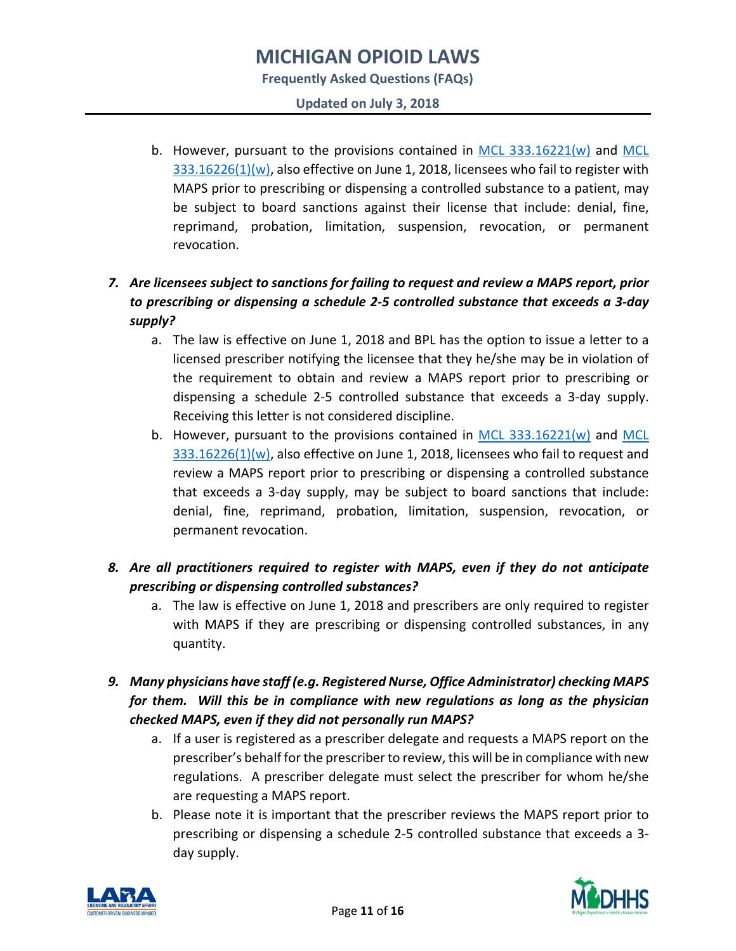**Frequently Asked Questions (FAQs)**

#### **Updated on July 3, 2018**

b. However, pursuant to the provisions contained in  $MCL$  333.16221(w) and  $MCL$ [333.16226\(1\)\(w\),](http://www.legislature.mi.gov/(S(ojy52v2o32cjvgnohlvvowuc))/mileg.aspx?page=getObject&objectName=mcl-333-16226) also effective on June 1, 2018, licensees who fail to register with MAPS prior to prescribing or dispensing a controlled substance to a patient, may be subject to board sanctions against their license that include: denial, fine, reprimand, probation, limitation, suspension, revocation, or permanent revocation.

## *7. Are licensees subject to sanctions for failing to request and review a MAPS report, prior to prescribing or dispensing a schedule 2-5 controlled substance that exceeds a 3-day supply?*

- a. The law is effective on June 1, 2018 and BPL has the option to issue a letter to a licensed prescriber notifying the licensee that they he/she may be in violation of the requirement to obtain and review a MAPS report prior to prescribing or dispensing a schedule 2-5 controlled substance that exceeds a 3-day supply. Receiving this letter is not considered discipline.
- b. However, pursuant to the provisions contained in [MCL](http://www.legislature.mi.gov/(S(53suox0qcrxujya0byhvu0dr))/mileg.aspx?page=getObject&objectName=mcl-333-16226) 333.16221 $(w)$  and MCL [333.16226\(1\)\(w\),](http://www.legislature.mi.gov/(S(53suox0qcrxujya0byhvu0dr))/mileg.aspx?page=getObject&objectName=mcl-333-16226) also effective on June 1, 2018, licensees who fail to request and review a MAPS report prior to prescribing or dispensing a controlled substance that exceeds a 3-day supply, may be subject to board sanctions that include: denial, fine, reprimand, probation, limitation, suspension, revocation, or permanent revocation.
- *8. Are all practitioners required to register with MAPS, even if they do not anticipate prescribing or dispensing controlled substances?*
	- a. The law is effective on June 1, 2018 and prescribers are only required to register with MAPS if they are prescribing or dispensing controlled substances, in any quantity.
- *9. Many physicians have staff (e.g. Registered Nurse, Office Administrator) checking MAPS for them. Will this be in compliance with new regulations as long as the physician checked MAPS, even if they did not personally run MAPS?*
	- a. If a user is registered as a prescriber delegate and requests a MAPS report on the prescriber's behalf for the prescriber to review, this will be in compliance with new regulations. A prescriber delegate must select the prescriber for whom he/she are requesting a MAPS report.
	- b. Please note it is important that the prescriber reviews the MAPS report prior to prescribing or dispensing a schedule 2-5 controlled substance that exceeds a 3 day supply.



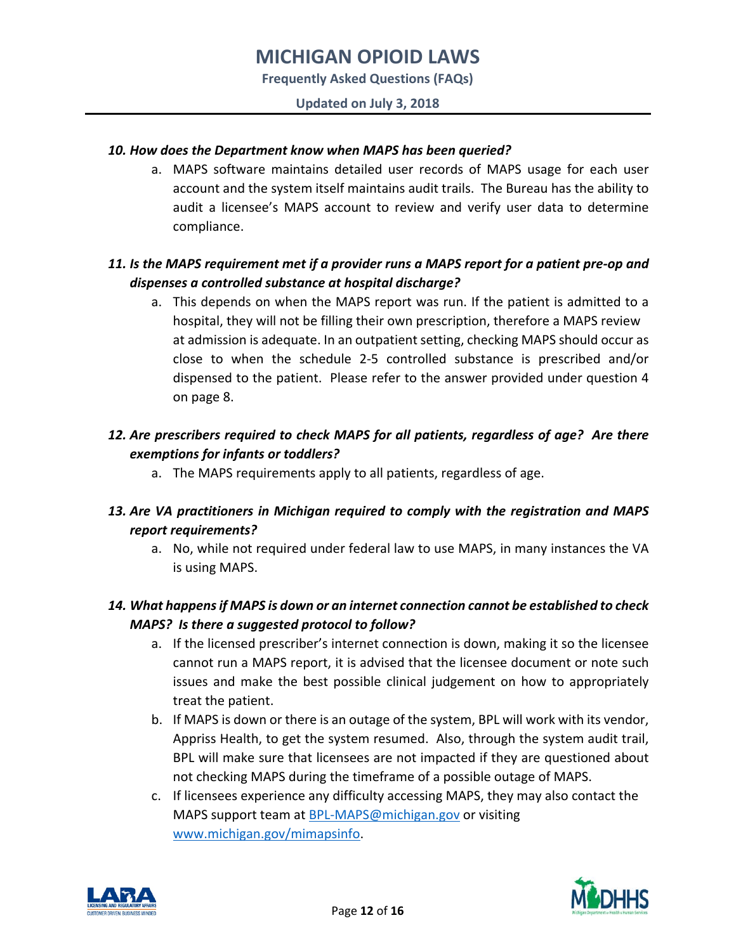**Frequently Asked Questions (FAQs)**

#### *10. How does the Department know when MAPS has been queried?*

a. MAPS software maintains detailed user records of MAPS usage for each user account and the system itself maintains audit trails. The Bureau has the ability to audit a licensee's MAPS account to review and verify user data to determine compliance.

### *11. Is the MAPS requirement met if a provider runs a MAPS report for a patient pre-op and dispenses a controlled substance at hospital discharge?*

a. This depends on when the MAPS report was run. If the patient is admitted to a hospital, they will not be filling their own prescription, therefore a MAPS review at admission is adequate. In an outpatient setting, checking MAPS should occur as close to when the schedule 2-5 controlled substance is prescribed and/or dispensed to the patient. Please refer to the answer provided under question 4 on page 8.

### *12. Are prescribers required to check MAPS for all patients, regardless of age? Are there exemptions for infants or toddlers?*

a. The MAPS requirements apply to all patients, regardless of age.

### *13. Are VA practitioners in Michigan required to comply with the registration and MAPS report requirements?*

a. No, while not required under federal law to use MAPS, in many instances the VA is using MAPS.

### *14. What happens if MAPS is down or an internet connection cannot be established to check MAPS? Is there a suggested protocol to follow?*

- a. If the licensed prescriber's internet connection is down, making it so the licensee cannot run a MAPS report, it is advised that the licensee document or note such issues and make the best possible clinical judgement on how to appropriately treat the patient.
- b. If MAPS is down or there is an outage of the system, BPL will work with its vendor, Appriss Health, to get the system resumed. Also, through the system audit trail, BPL will make sure that licensees are not impacted if they are questioned about not checking MAPS during the timeframe of a possible outage of MAPS.
- c. If licensees experience any difficulty accessing MAPS, they may also contact the MAPS support team at [BPL-MAPS@michigan.gov](mailto:BPL-MAPS@michigan.gov) or visiting [www.michigan.gov/mimapsinfo.](http://www.michigan.gov/mimapsinfo)



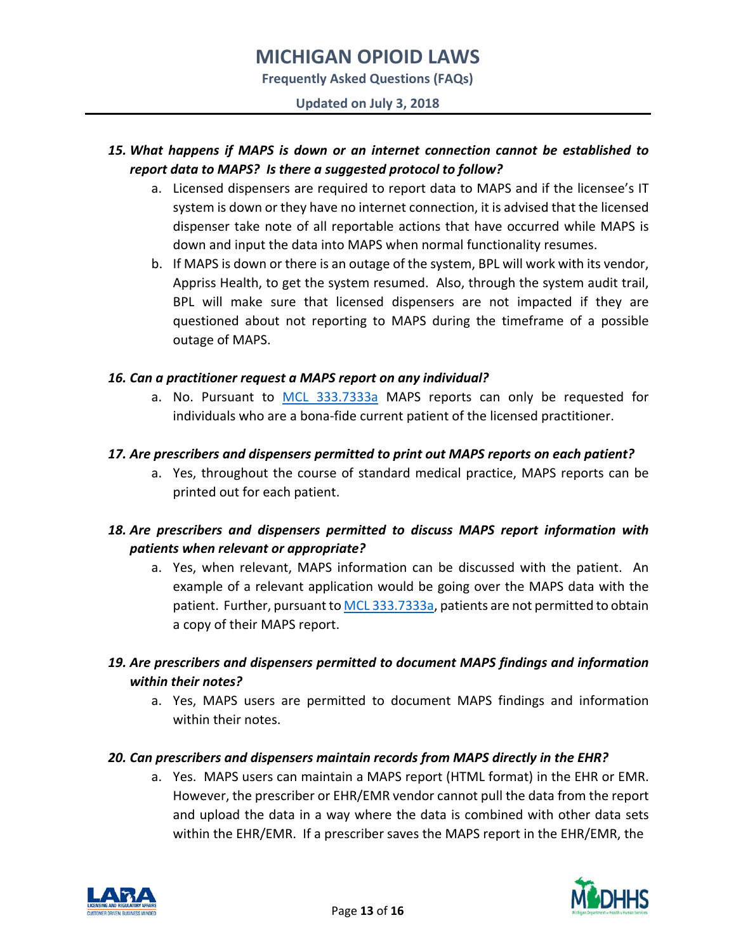**Frequently Asked Questions (FAQs)**

**Updated on July 3, 2018**

### *15. What happens if MAPS is down or an internet connection cannot be established to report data to MAPS? Is there a suggested protocol to follow?*

- a. Licensed dispensers are required to report data to MAPS and if the licensee's IT system is down or they have no internet connection, it is advised that the licensed dispenser take note of all reportable actions that have occurred while MAPS is down and input the data into MAPS when normal functionality resumes.
- b. If MAPS is down or there is an outage of the system, BPL will work with its vendor, Appriss Health, to get the system resumed. Also, through the system audit trail, BPL will make sure that licensed dispensers are not impacted if they are questioned about not reporting to MAPS during the timeframe of a possible outage of MAPS.

#### *16. Can a practitioner request a MAPS report on any individual?*

a. No. Pursuant to [MCL 333.7333a](http://www.legislature.mi.gov/(S(jhtky34strhbqg0g355zbuvd))/mileg.aspx?page=GetObject&objectname=mcl-333-7333a) MAPS reports can only be requested for individuals who are a bona-fide current patient of the licensed practitioner.

#### *17. Are prescribers and dispensers permitted to print out MAPS reports on each patient?*

a. Yes, throughout the course of standard medical practice, MAPS reports can be printed out for each patient.

### *18. Are prescribers and dispensers permitted to discuss MAPS report information with patients when relevant or appropriate?*

- a. Yes, when relevant, MAPS information can be discussed with the patient. An example of a relevant application would be going over the MAPS data with the patient. Further, pursuant t[o MCL 333.7333a,](http://www.legislature.mi.gov/(S(jhtky34strhbqg0g355zbuvd))/mileg.aspx?page=GetObject&objectname=mcl-333-7333a) patients are not permitted to obtain a copy of their MAPS report.
- *19. Are prescribers and dispensers permitted to document MAPS findings and information within their notes?*
	- a. Yes, MAPS users are permitted to document MAPS findings and information within their notes.

#### *20. Can prescribers and dispensers maintain records from MAPS directly in the EHR?*

a. Yes. MAPS users can maintain a MAPS report (HTML format) in the EHR or EMR. However, the prescriber or EHR/EMR vendor cannot pull the data from the report and upload the data in a way where the data is combined with other data sets within the EHR/EMR. If a prescriber saves the MAPS report in the EHR/EMR, the



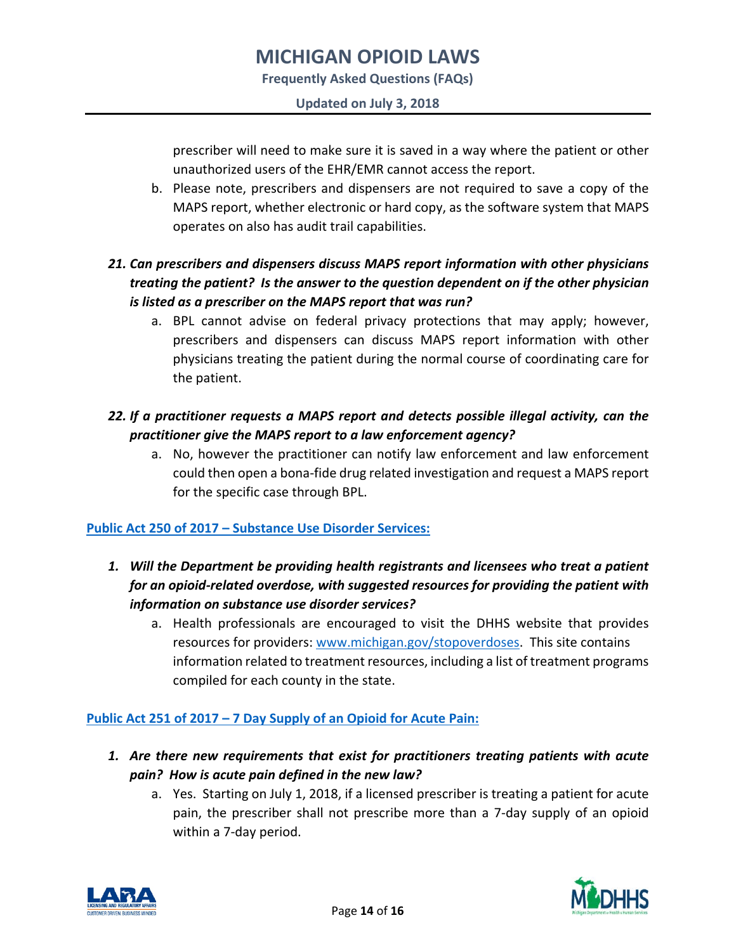**Frequently Asked Questions (FAQs)**

prescriber will need to make sure it is saved in a way where the patient or other unauthorized users of the EHR/EMR cannot access the report.

b. Please note, prescribers and dispensers are not required to save a copy of the MAPS report, whether electronic or hard copy, as the software system that MAPS operates on also has audit trail capabilities.

## *21. Can prescribers and dispensers discuss MAPS report information with other physicians treating the patient? Is the answer to the question dependent on if the other physician is listed as a prescriber on the MAPS report that was run?*

a. BPL cannot advise on federal privacy protections that may apply; however, prescribers and dispensers can discuss MAPS report information with other physicians treating the patient during the normal course of coordinating care for the patient.

### *22. If a practitioner requests a MAPS report and detects possible illegal activity, can the practitioner give the MAPS report to a law enforcement agency?*

a. No, however the practitioner can notify law enforcement and law enforcement could then open a bona-fide drug related investigation and request a MAPS report for the specific case through BPL.

### **[Public Act 250 of 2017](http://www.legislature.mi.gov/documents/2017-2018/publicact/pdf/2017-PA-0250.pdf) – Substance Use Disorder Services:**

- *1. Will the Department be providing health registrants and licensees who treat a patient for an opioid-related overdose, with suggested resources for providing the patient with information on substance use disorder services?*
	- a. Health professionals are encouraged to visit the DHHS website that provides resources for providers: [www.michigan.gov/stopoverdoses.](http://www.michigan.gov/stopoverdoses) This site contains information related to treatment resources, including a list of treatment programs compiled for each county in the state.

### **[Public Act 251 of 2017](http://www.legislature.mi.gov/documents/2017-2018/publicact/pdf/2017-PA-0251.pdf) – 7 Day Supply of an Opioid for Acute Pain:**

- *1. Are there new requirements that exist for practitioners treating patients with acute pain? How is acute pain defined in the new law?*
	- a. Yes. Starting on July 1, 2018, if a licensed prescriber is treating a patient for acute pain, the prescriber shall not prescribe more than a 7-day supply of an opioid within a 7-day period.



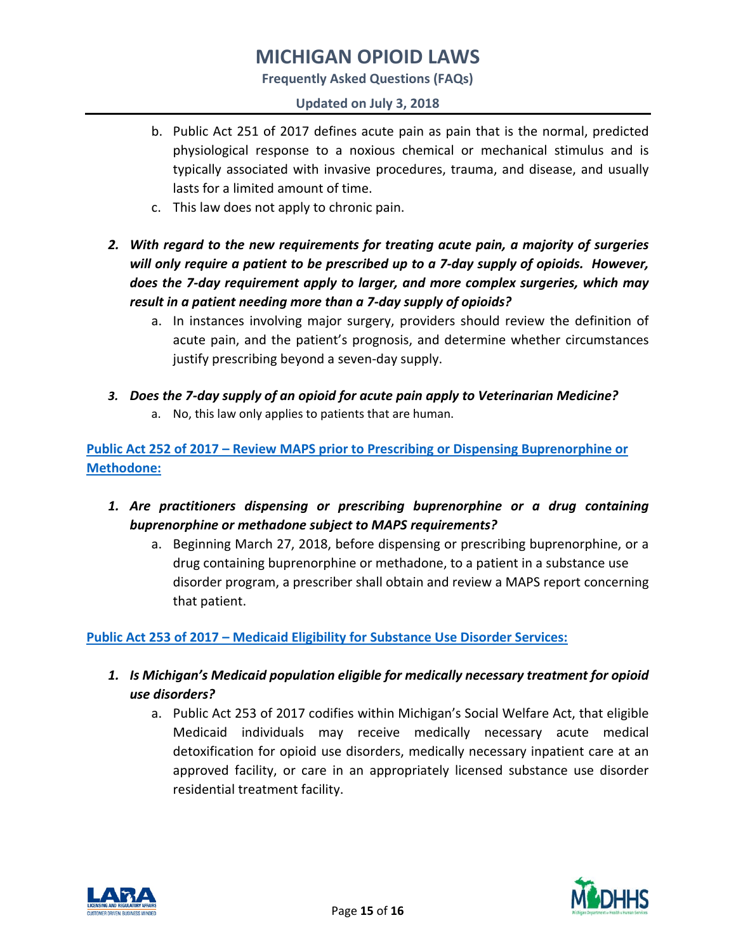**Frequently Asked Questions (FAQs)**

#### **Updated on July 3, 2018**

- b. Public Act 251 of 2017 defines acute pain as pain that is the normal, predicted physiological response to a noxious chemical or mechanical stimulus and is typically associated with invasive procedures, trauma, and disease, and usually lasts for a limited amount of time.
- c. This law does not apply to chronic pain.
- *2. With regard to the new requirements for treating acute pain, a majority of surgeries will only require a patient to be prescribed up to a 7-day supply of opioids. However, does the 7-day requirement apply to larger, and more complex surgeries, which may result in a patient needing more than a 7-day supply of opioids?*
	- a. In instances involving major surgery, providers should review the definition of acute pain, and the patient's prognosis, and determine whether circumstances justify prescribing beyond a seven-day supply.
- *3. Does the 7-day supply of an opioid for acute pain apply to Veterinarian Medicine?*
	- a. No, this law only applies to patients that are human.

### **[Public Act 252 of 2017](http://www.legislature.mi.gov/documents/2017-2018/publicact/pdf/2017-PA-0252.pdf) – Review MAPS prior to Prescribing or Dispensing Buprenorphine or Methodone:**

- *1. Are practitioners dispensing or prescribing buprenorphine or a drug containing buprenorphine or methadone subject to MAPS requirements?*
	- a. Beginning March 27, 2018, before dispensing or prescribing buprenorphine, or a drug containing buprenorphine or methadone, to a patient in a substance use disorder program, a prescriber shall obtain and review a MAPS report concerning that patient.

### **[Public Act 253 of 2017](http://www.legislature.mi.gov/documents/2017-2018/publicact/pdf/2017-PA-0253.pdf) – Medicaid Eligibility for Substance Use Disorder Services:**

- *1. Is Michigan's Medicaid population eligible for medically necessary treatment for opioid use disorders?* 
	- a. Public Act 253 of 2017 codifies within Michigan's Social Welfare Act, that eligible Medicaid individuals may receive medically necessary acute medical detoxification for opioid use disorders, medically necessary inpatient care at an approved facility, or care in an appropriately licensed substance use disorder residential treatment facility.